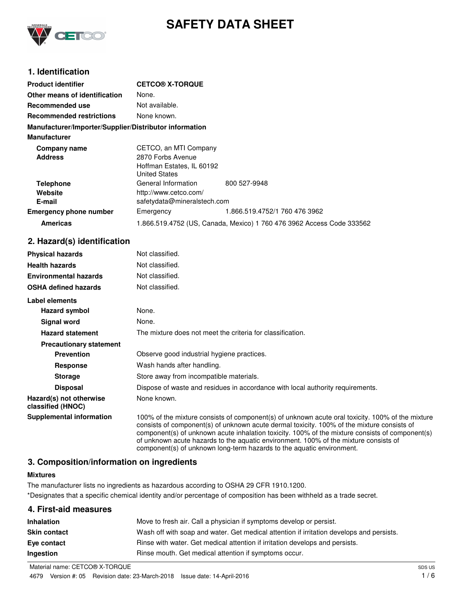

# **SAFETY DATA SHEET**

# **1. Identification**

| <b>Product identifier</b>                              | <b>CETCO® X-TORQUE</b>                                                                          |                               |
|--------------------------------------------------------|-------------------------------------------------------------------------------------------------|-------------------------------|
| Other means of identification                          | None.                                                                                           |                               |
| Recommended use                                        | Not available.                                                                                  |                               |
| <b>Recommended restrictions</b>                        | None known.                                                                                     |                               |
| Manufacturer/Importer/Supplier/Distributor information |                                                                                                 |                               |
| <b>Manufacturer</b>                                    |                                                                                                 |                               |
| <b>Company name</b><br><b>Address</b>                  | CETCO, an MTI Company<br>2870 Forbs Avenue<br>Hoffman Estates, IL 60192<br><b>United States</b> |                               |
| <b>Telephone</b><br>Website<br>E-mail                  | General Information<br>http://www.cetco.com/<br>safetydata@mineralstech.com                     | 800 527-9948                  |
| <b>Emergency phone number</b>                          | Emergency                                                                                       | 1.866.519.4752/1 760 476 3962 |
| <b>Americas</b>                                        | 1.866.519.4752 (US, Canada, Mexico) 1 760 476 3962 Access Code 333562                           |                               |

# **2. Hazard(s) identification**

| <b>Physical hazards</b>                      | Not classified.                                                                                                                                                                                                                                                                                                                                                                           |
|----------------------------------------------|-------------------------------------------------------------------------------------------------------------------------------------------------------------------------------------------------------------------------------------------------------------------------------------------------------------------------------------------------------------------------------------------|
| <b>Health hazards</b>                        | Not classified.                                                                                                                                                                                                                                                                                                                                                                           |
| <b>Environmental hazards</b>                 | Not classified.                                                                                                                                                                                                                                                                                                                                                                           |
| <b>OSHA defined hazards</b>                  | Not classified.                                                                                                                                                                                                                                                                                                                                                                           |
| Label elements                               |                                                                                                                                                                                                                                                                                                                                                                                           |
| <b>Hazard symbol</b>                         | None.                                                                                                                                                                                                                                                                                                                                                                                     |
| Signal word                                  | None.                                                                                                                                                                                                                                                                                                                                                                                     |
| <b>Hazard statement</b>                      | The mixture does not meet the criteria for classification.                                                                                                                                                                                                                                                                                                                                |
| <b>Precautionary statement</b>               |                                                                                                                                                                                                                                                                                                                                                                                           |
| <b>Prevention</b>                            | Observe good industrial hygiene practices.                                                                                                                                                                                                                                                                                                                                                |
| <b>Response</b>                              | Wash hands after handling.                                                                                                                                                                                                                                                                                                                                                                |
| <b>Storage</b>                               | Store away from incompatible materials.                                                                                                                                                                                                                                                                                                                                                   |
| <b>Disposal</b>                              | Dispose of waste and residues in accordance with local authority requirements.                                                                                                                                                                                                                                                                                                            |
| Hazard(s) not otherwise<br>classified (HNOC) | None known.                                                                                                                                                                                                                                                                                                                                                                               |
| <b>Supplemental information</b>              | 100% of the mixture consists of component(s) of unknown acute oral toxicity. 100% of the mixture<br>consists of component(s) of unknown acute dermal toxicity. 100% of the mixture consists of<br>component(s) of unknown acute inhalation toxicity. 100% of the mixture consists of component(s)<br>of unknown acute hazards to the aquatic environment. 100% of the mixture consists of |

## **3. Composition/information on ingredients**

## **Mixtures**

The manufacturer lists no ingredients as hazardous according to OSHA 29 CFR 1910.1200. \*Designates that a specific chemical identity and/or percentage of composition has been withheld as a trade secret.

## **4. First-aid measures**

| <b>Inhalation</b>   | Move to fresh air. Call a physician if symptoms develop or persist.                      |
|---------------------|------------------------------------------------------------------------------------------|
| <b>Skin contact</b> | Wash off with soap and water. Get medical attention if irritation develops and persists. |
| Eye contact         | Rinse with water. Get medical attention if irritation develops and persists.             |
| Ingestion           | Rinse mouth. Get medical attention if symptoms occur.                                    |

component(s) of unknown long-term hazards to the aquatic environment.

Material name: CETCO® X-TORQUE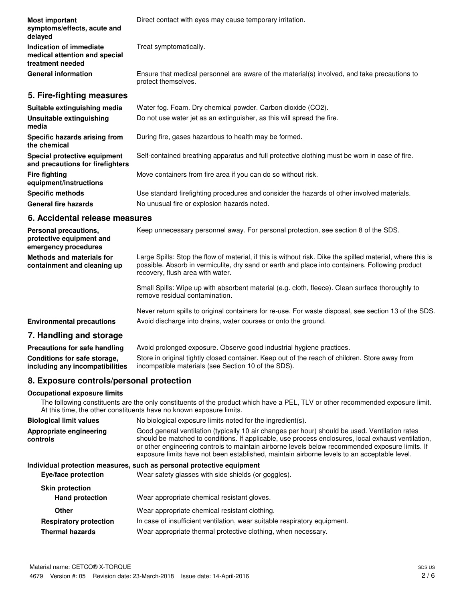| <b>Most important</b><br>symptoms/effects, acute and<br>delayed              | Direct contact with eyes may cause temporary irritation.                                                            |
|------------------------------------------------------------------------------|---------------------------------------------------------------------------------------------------------------------|
| Indication of immediate<br>medical attention and special<br>treatment needed | Treat symptomatically.                                                                                              |
| <b>General information</b>                                                   | Ensure that medical personnel are aware of the material(s) involved, and take precautions to<br>protect themselves. |
| 5. Fire-fighting measures                                                    |                                                                                                                     |
| Suitable extinguishing media                                                 | Water fog. Foam. Dry chemical powder. Carbon dioxide (CO2).                                                         |
| Unsuitable extinguishing<br>media                                            | Do not use water jet as an extinguisher, as this will spread the fire.                                              |
| Specific hazards arising from<br>the chemical                                | During fire, gases hazardous to health may be formed.                                                               |
| Special protective equipment<br>and precautions for firefighters             | Self-contained breathing apparatus and full protective clothing must be worn in case of fire.                       |
| <b>Fire fighting</b><br>equipment/instructions                               | Move containers from fire area if you can do so without risk.                                                       |
| <b>Specific methods</b>                                                      | Use standard firefighting procedures and consider the hazards of other involved materials.                          |
| <b>General fire hazards</b>                                                  | No unusual fire or explosion hazards noted.                                                                         |

# **6. Accidental release measures**

| Personal precautions,<br>protective equipment and<br>emergency procedures | Keep unnecessary personnel away. For personal protection, see section 8 of the SDS.                                                                                                                                                               |
|---------------------------------------------------------------------------|---------------------------------------------------------------------------------------------------------------------------------------------------------------------------------------------------------------------------------------------------|
| Methods and materials for<br>containment and cleaning up                  | Large Spills: Stop the flow of material, if this is without risk. Dike the spilled material, where this is<br>possible. Absorb in vermiculite, dry sand or earth and place into containers. Following product<br>recovery, flush area with water. |
|                                                                           | Small Spills: Wipe up with absorbent material (e.g. cloth, fleece). Clean surface thoroughly to<br>remove residual contamination.                                                                                                                 |
| <b>Environmental precautions</b>                                          | Never return spills to original containers for re-use. For waste disposal, see section 13 of the SDS.<br>Avoid discharge into drains, water courses or onto the ground.                                                                           |

# **7. Handling and storage**

| Precautions for safe handling   | Avoid prolonged exposure. Observe good industrial hygiene practices.                           |
|---------------------------------|------------------------------------------------------------------------------------------------|
| Conditions for safe storage,    | Store in original tightly closed container. Keep out of the reach of children. Store away from |
| including any incompatibilities | incompatible materials (see Section 10 of the SDS).                                            |

# **8. Exposure controls/personal protection**

#### **Occupational exposure limits**

The following constituents are the only constituents of the product which have a PEL, TLV or other recommended exposure limit. At this time, the other constituents have no known exposure limits.

| <b>Biological limit values</b>      | No biological exposure limits noted for the ingredient(s).                                                                                                                                                                                                                                                                                                                                             |
|-------------------------------------|--------------------------------------------------------------------------------------------------------------------------------------------------------------------------------------------------------------------------------------------------------------------------------------------------------------------------------------------------------------------------------------------------------|
| Appropriate engineering<br>controls | Good general ventilation (typically 10 air changes per hour) should be used. Ventilation rates<br>should be matched to conditions. If applicable, use process enclosures, local exhaust ventilation,<br>or other engineering controls to maintain airborne levels below recommended exposure limits. If<br>exposure limits have not been established, maintain airborne levels to an acceptable level. |
|                                     | Individual protection measures, such as personal protective equipment                                                                                                                                                                                                                                                                                                                                  |
| Eye/face protection                 | Wear safety glasses with side shields (or goggles).                                                                                                                                                                                                                                                                                                                                                    |
| <b>Skin protection</b>              |                                                                                                                                                                                                                                                                                                                                                                                                        |
| <b>Hand protection</b>              | Wear appropriate chemical resistant gloves.                                                                                                                                                                                                                                                                                                                                                            |
| <b>Other</b>                        | Wear appropriate chemical resistant clothing.                                                                                                                                                                                                                                                                                                                                                          |
| <b>Respiratory protection</b>       | In case of insufficient ventilation, wear suitable respiratory equipment.                                                                                                                                                                                                                                                                                                                              |
| <b>Thermal hazards</b>              | Wear appropriate thermal protective clothing, when necessary.                                                                                                                                                                                                                                                                                                                                          |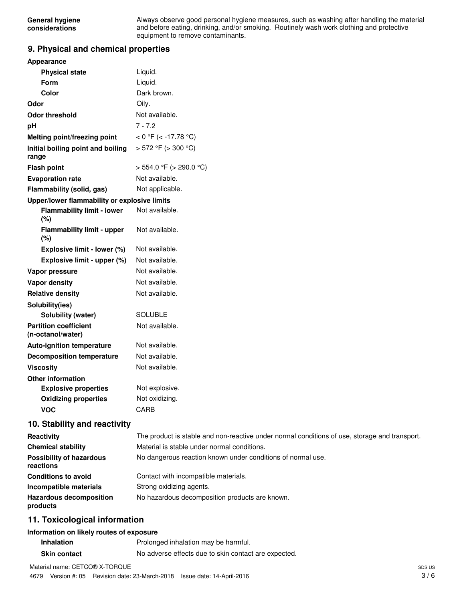Always observe good personal hygiene measures, such as washing after handling the material and before eating, drinking, and/or smoking. Routinely wash work clothing and protective equipment to remove contaminants.

# **9. Physical and chemical properties**

| <b>Appearance</b>                                 |                                                                                               |
|---------------------------------------------------|-----------------------------------------------------------------------------------------------|
| <b>Physical state</b>                             | Liquid.                                                                                       |
| Form                                              | Liquid.                                                                                       |
| Color                                             | Dark brown.                                                                                   |
| Odor                                              | Oily.                                                                                         |
| <b>Odor threshold</b>                             | Not available.                                                                                |
| pH                                                | $7 - 7.2$                                                                                     |
| Melting point/freezing point                      | < 0 °F (< -17.78 °C)                                                                          |
| Initial boiling point and boiling                 | $>$ 572 °F ( $>$ 300 °C)                                                                      |
| range                                             |                                                                                               |
| <b>Flash point</b>                                | $>$ 554.0 °F ( $>$ 290.0 °C)                                                                  |
| <b>Evaporation rate</b>                           | Not available.                                                                                |
| Flammability (solid, gas)                         | Not applicable.                                                                               |
| Upper/lower flammability or explosive limits      |                                                                                               |
| <b>Flammability limit - lower</b><br>(%)          | Not available.                                                                                |
| <b>Flammability limit - upper</b><br>(%)          | Not available.                                                                                |
| Explosive limit - lower (%)                       | Not available.                                                                                |
| Explosive limit - upper (%)                       | Not available.                                                                                |
| Vapor pressure                                    | Not available.                                                                                |
| Vapor density                                     | Not available.                                                                                |
| <b>Relative density</b>                           | Not available.                                                                                |
| Solubility(ies)                                   |                                                                                               |
| Solubility (water)                                | <b>SOLUBLE</b>                                                                                |
| <b>Partition coefficient</b><br>(n-octanol/water) | Not available.                                                                                |
| Auto-ignition temperature                         | Not available.                                                                                |
| <b>Decomposition temperature</b>                  | Not available.                                                                                |
| <b>Viscosity</b>                                  | Not available.                                                                                |
| <b>Other information</b>                          |                                                                                               |
| <b>Explosive properties</b>                       | Not explosive.                                                                                |
| <b>Oxidizing properties</b>                       | Not oxidizing.                                                                                |
| <b>VOC</b>                                        | CARB                                                                                          |
| 10. Stability and reactivity                      |                                                                                               |
| Reactivity                                        | The product is stable and non-reactive under normal conditions of use, storage and transport. |
| <b>Chemical stability</b>                         | Material is stable under normal conditions.                                                   |
| <b>Possibility of hazardous</b><br>reactions      | No dangerous reaction known under conditions of normal use.                                   |
| <b>Conditions to avoid</b>                        | Contact with incompatible materials.                                                          |
| Incompatible materials                            | Strong oxidizing agents.                                                                      |
| <b>Hazardous decomposition</b><br>products        | No hazardous decomposition products are known.                                                |
| 11. Toxicological information                     |                                                                                               |

## **Information on likely routes of exposure**

| <b>Inhalation</b>   | Prolonged inhalation may be harmful.                 |
|---------------------|------------------------------------------------------|
| <b>Skin contact</b> | No adverse effects due to skin contact are expected. |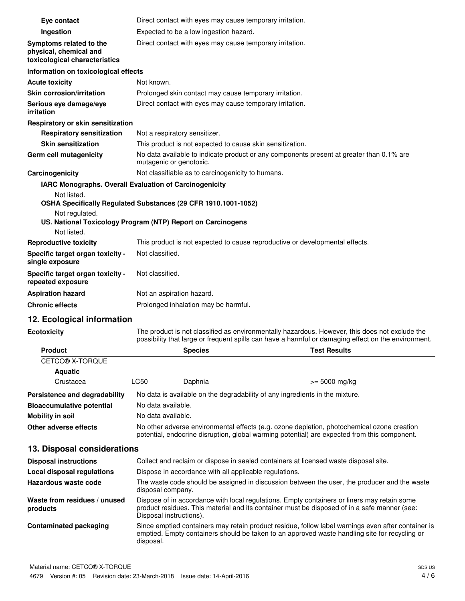| Eye contact                                                                        | Direct contact with eyes may cause temporary irritation.                                                                                                                                                               |  |
|------------------------------------------------------------------------------------|------------------------------------------------------------------------------------------------------------------------------------------------------------------------------------------------------------------------|--|
| Ingestion                                                                          | Expected to be a low ingestion hazard.                                                                                                                                                                                 |  |
| Symptoms related to the<br>physical, chemical and<br>toxicological characteristics | Direct contact with eyes may cause temporary irritation.                                                                                                                                                               |  |
| Information on toxicological effects                                               |                                                                                                                                                                                                                        |  |
| <b>Acute toxicity</b>                                                              | Not known.                                                                                                                                                                                                             |  |
| <b>Skin corrosion/irritation</b>                                                   | Prolonged skin contact may cause temporary irritation.                                                                                                                                                                 |  |
| Serious eye damage/eye<br>irritation                                               | Direct contact with eyes may cause temporary irritation.                                                                                                                                                               |  |
| Respiratory or skin sensitization                                                  |                                                                                                                                                                                                                        |  |
| <b>Respiratory sensitization</b>                                                   | Not a respiratory sensitizer.                                                                                                                                                                                          |  |
| <b>Skin sensitization</b>                                                          | This product is not expected to cause skin sensitization.                                                                                                                                                              |  |
| Germ cell mutagenicity                                                             | No data available to indicate product or any components present at greater than 0.1% are<br>mutagenic or genotoxic.                                                                                                    |  |
| Carcinogenicity                                                                    | Not classifiable as to carcinogenicity to humans.                                                                                                                                                                      |  |
| Not listed.                                                                        | IARC Monographs. Overall Evaluation of Carcinogenicity<br>OSHA Specifically Regulated Substances (29 CFR 1910.1001-1052)                                                                                               |  |
| Not regulated.                                                                     | US. National Toxicology Program (NTP) Report on Carcinogens                                                                                                                                                            |  |
| Not listed.                                                                        |                                                                                                                                                                                                                        |  |
| <b>Reproductive toxicity</b>                                                       | This product is not expected to cause reproductive or developmental effects.                                                                                                                                           |  |
| Specific target organ toxicity -<br>single exposure                                | Not classified.                                                                                                                                                                                                        |  |
| Specific target organ toxicity -<br>repeated exposure                              | Not classified.                                                                                                                                                                                                        |  |
| <b>Aspiration hazard</b>                                                           | Not an aspiration hazard.                                                                                                                                                                                              |  |
| <b>Chronic effects</b>                                                             | Prolonged inhalation may be harmful.                                                                                                                                                                                   |  |
| 12. Ecological information                                                         |                                                                                                                                                                                                                        |  |
| <b>Ecotoxicity</b>                                                                 | The product is not classified as environmentally hazardous. However, this does not exclude the<br>possibility that large or frequent spills can have a harmful or damaging effect on the environment.                  |  |
| <b>Product</b>                                                                     | <b>Species Species</b><br><b>Test Results</b>                                                                                                                                                                          |  |
| CETCO® X-TORQUE                                                                    |                                                                                                                                                                                                                        |  |
| <b>Aquatic</b>                                                                     |                                                                                                                                                                                                                        |  |
| Crustacea                                                                          | LC50<br>Daphnia<br>>= 5000 mg/kg                                                                                                                                                                                       |  |
| Persistence and degradability                                                      | No data is available on the degradability of any ingredients in the mixture.                                                                                                                                           |  |
| <b>Bioaccumulative potential</b>                                                   | No data available.                                                                                                                                                                                                     |  |
| <b>Mobility in soil</b>                                                            | No data available.                                                                                                                                                                                                     |  |
| Other adverse effects                                                              | No other adverse environmental effects (e.g. ozone depletion, photochemical ozone creation<br>potential, endocrine disruption, global warming potential) are expected from this component.                             |  |
| 13. Disposal considerations                                                        |                                                                                                                                                                                                                        |  |
| <b>Disposal instructions</b>                                                       | Collect and reclaim or dispose in sealed containers at licensed waste disposal site.                                                                                                                                   |  |
| <b>Local disposal regulations</b>                                                  | Dispose in accordance with all applicable regulations.                                                                                                                                                                 |  |
| Hazardous waste code                                                               | The waste code should be assigned in discussion between the user, the producer and the waste<br>disposal company.                                                                                                      |  |
| Waste from residues / unused<br>products                                           | Dispose of in accordance with local regulations. Empty containers or liners may retain some<br>product residues. This material and its container must be disposed of in a safe manner (see:<br>Disposal instructions). |  |
| <b>Contaminated packaging</b>                                                      | Since emptied containers may retain product residue, follow label warnings even after container is<br>emptied. Empty containers should be taken to an approved waste handling site for recycling or                    |  |

disposal.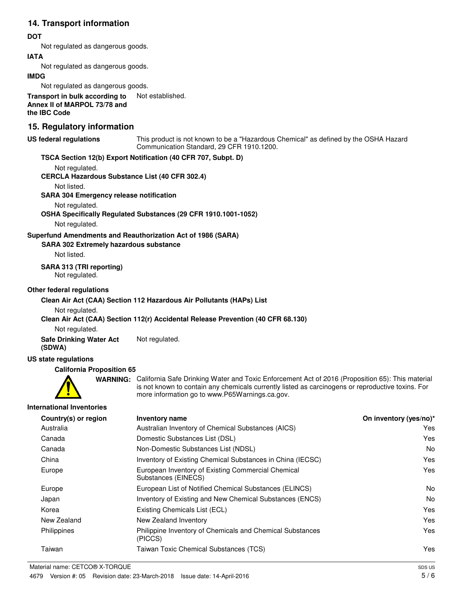## **14. Transport information**

## **DOT**

Not regulated as dangerous goods.

## **IATA**

Not regulated as dangerous goods.

#### **IMDG**

Not regulated as dangerous goods.

**Transport in bulk according to** Not established. **Annex II of MARPOL 73/78 and the IBC Code**

## **15. Regulatory information**

#### **US federal regulations**

This product is not known to be a "Hazardous Chemical" as defined by the OSHA Hazard Communication Standard, 29 CFR 1910.1200.

## **TSCA Section 12(b) Export Notification (40 CFR 707, Subpt. D)**

Not regulated.

**CERCLA Hazardous Substance List (40 CFR 302.4)**

Not listed.

**SARA 304 Emergency release notification**

Not regulated.

## **OSHA Specifically Regulated Substances (29 CFR 1910.1001-1052)**

Not regulated.

## **Superfund Amendments and Reauthorization Act of 1986 (SARA)**

**SARA 302 Extremely hazardous substance**

Not listed.

## **SARA 313 (TRI reporting)**

Not regulated.

## **Other federal regulations**

#### **Clean Air Act (CAA) Section 112 Hazardous Air Pollutants (HAPs) List**

Not regulated.

## **Clean Air Act (CAA) Section 112(r) Accidental Release Prevention (40 CFR 68.130)**

Not regulated.

**Safe Drinking Water Act** Not regulated.

## **US state regulations**

**(SDWA)**

**California Proposition 65**



WARNING: California Safe Drinking Water and Toxic Enforcement Act of 2016 (Proposition 65): This material is not known to contain any chemicals currently listed as carcinogens or reproductive toxins. For more information go to www.P65Warnings.ca.gov.

## **International Inventories**

| Country(s) or region | Inventory name                                                            | On inventory (yes/no)* |
|----------------------|---------------------------------------------------------------------------|------------------------|
| Australia            | Australian Inventory of Chemical Substances (AICS)                        | Yes                    |
| Canada               | Domestic Substances List (DSL)                                            | Yes                    |
| Canada               | Non-Domestic Substances List (NDSL)                                       | No                     |
| China                | Inventory of Existing Chemical Substances in China (IECSC)                | Yes                    |
| Europe               | European Inventory of Existing Commercial Chemical<br>Substances (EINECS) | Yes                    |
| Europe               | European List of Notified Chemical Substances (ELINCS)                    | No                     |
| Japan                | Inventory of Existing and New Chemical Substances (ENCS)                  | <b>No</b>              |
| Korea                | Existing Chemicals List (ECL)                                             | Yes                    |
| New Zealand          | New Zealand Inventory                                                     | Yes                    |
| Philippines          | Philippine Inventory of Chemicals and Chemical Substances<br>(PICCS)      | Yes                    |
| Taiwan               | Taiwan Toxic Chemical Substances (TCS)                                    | Yes                    |